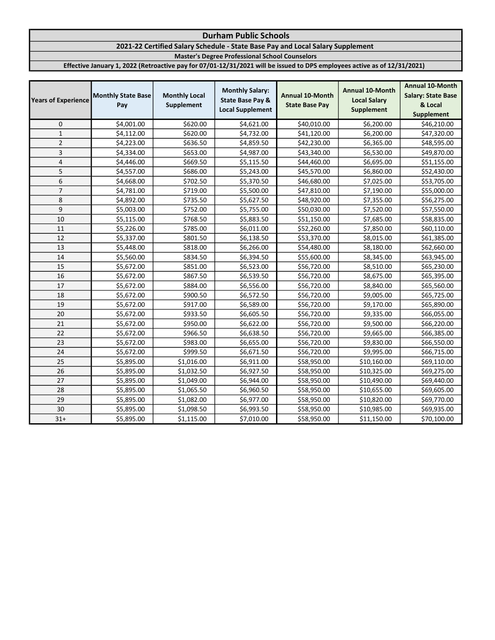# 2021-22 Certified Salary Schedule - State Base Pay and Local Salary Supplement

Master's Degree Professional School Counselors

| <b>Years of Experience</b> | <b>Monthly State Base</b><br>Pay | <b>Monthly Local</b><br>Supplement | <b>Monthly Salary:</b><br><b>State Base Pay &amp;</b><br><b>Local Supplement</b> | <b>Annual 10-Month</b><br><b>State Base Pay</b> | <b>Annual 10-Month</b><br><b>Local Salary</b><br><b>Supplement</b> | <b>Annual 10-Month</b><br><b>Salary: State Base</b><br>& Local<br><b>Supplement</b> |
|----------------------------|----------------------------------|------------------------------------|----------------------------------------------------------------------------------|-------------------------------------------------|--------------------------------------------------------------------|-------------------------------------------------------------------------------------|
| $\mathbf 0$                | \$4,001.00                       | \$620.00                           | \$4,621.00                                                                       | \$40,010.00                                     | \$6,200.00                                                         | \$46,210.00                                                                         |
| $\mathbf{1}$               | \$4,112.00                       | \$620.00                           | \$4,732.00                                                                       | \$41,120.00                                     | \$6,200.00                                                         | \$47,320.00                                                                         |
| $\overline{2}$             | \$4,223.00                       | \$636.50                           | \$4,859.50                                                                       | \$42,230.00                                     | \$6,365.00                                                         | \$48,595.00                                                                         |
| 3                          | \$4,334.00                       | \$653.00                           | \$4,987.00                                                                       | \$43,340.00                                     | \$6,530.00                                                         | \$49,870.00                                                                         |
| 4                          | \$4,446.00                       | \$669.50                           | \$5,115.50                                                                       | \$44,460.00                                     | \$6,695.00                                                         | \$51,155.00                                                                         |
| 5                          | \$4,557.00                       | \$686.00                           | \$5,243.00                                                                       | \$45,570.00                                     | \$6,860.00                                                         | \$52,430.00                                                                         |
| 6                          | \$4,668.00                       | \$702.50                           | \$5,370.50                                                                       | \$46,680.00                                     | \$7,025.00                                                         | \$53,705.00                                                                         |
| $\overline{7}$             | \$4,781.00                       | \$719.00                           | \$5,500.00                                                                       | \$47,810.00                                     | \$7,190.00                                                         | \$55,000.00                                                                         |
| 8                          | \$4,892.00                       | \$735.50                           | \$5,627.50                                                                       | \$48,920.00                                     | \$7,355.00                                                         | \$56,275.00                                                                         |
| 9                          | \$5,003.00                       | \$752.00                           | \$5,755.00                                                                       | \$50,030.00                                     | \$7,520.00                                                         | \$57,550.00                                                                         |
| 10                         | \$5,115.00                       | \$768.50                           | \$5,883.50                                                                       | \$51,150.00                                     | \$7,685.00                                                         | \$58,835.00                                                                         |
| 11                         | \$5,226.00                       | \$785.00                           | \$6,011.00                                                                       | \$52,260.00                                     | \$7,850.00                                                         | \$60,110.00                                                                         |
| 12                         | \$5,337.00                       | \$801.50                           | \$6,138.50                                                                       | \$53,370.00                                     | \$8,015.00                                                         | \$61,385.00                                                                         |
| 13                         | \$5,448.00                       | \$818.00                           | \$6,266.00                                                                       | \$54,480.00                                     | \$8,180.00                                                         | \$62,660.00                                                                         |
| 14                         | \$5,560.00                       | \$834.50                           | \$6,394.50                                                                       | \$55,600.00                                     | \$8,345.00                                                         | \$63,945.00                                                                         |
| 15                         | \$5,672.00                       | \$851.00                           | \$6,523.00                                                                       | \$56,720.00                                     | \$8,510.00                                                         | \$65,230.00                                                                         |
| 16                         | \$5,672.00                       | \$867.50                           | \$6,539.50                                                                       | \$56,720.00                                     | \$8,675.00                                                         | \$65,395.00                                                                         |
| 17                         | \$5,672.00                       | \$884.00                           | \$6,556.00                                                                       | \$56,720.00                                     | \$8,840.00                                                         | \$65,560.00                                                                         |
| 18                         | \$5,672.00                       | \$900.50                           | \$6,572.50                                                                       | \$56,720.00                                     | \$9,005.00                                                         | \$65,725.00                                                                         |
| 19                         | \$5,672.00                       | \$917.00                           | \$6,589.00                                                                       | \$56,720.00                                     | \$9,170.00                                                         | \$65,890.00                                                                         |
| 20                         | \$5,672.00                       | \$933.50                           | \$6,605.50                                                                       | \$56,720.00                                     | \$9,335.00                                                         | \$66,055.00                                                                         |
| 21                         | \$5,672.00                       | \$950.00                           | \$6,622.00                                                                       | \$56,720.00                                     | \$9,500.00                                                         | \$66,220.00                                                                         |
| 22                         | \$5,672.00                       | \$966.50                           | \$6,638.50                                                                       | \$56,720.00                                     | \$9,665.00                                                         | \$66,385.00                                                                         |
| 23                         | \$5,672.00                       | \$983.00                           | \$6,655.00                                                                       | \$56,720.00                                     | \$9,830.00                                                         | \$66,550.00                                                                         |
| 24                         | \$5,672.00                       | \$999.50                           | \$6,671.50                                                                       | \$56,720.00                                     | \$9,995.00                                                         | \$66,715.00                                                                         |
| 25                         | \$5,895.00                       | \$1,016.00                         | \$6,911.00                                                                       | \$58,950.00                                     | \$10,160.00                                                        | \$69,110.00                                                                         |
| 26                         | \$5,895.00                       | \$1,032.50                         | \$6,927.50                                                                       | \$58,950.00                                     | \$10,325.00                                                        | \$69,275.00                                                                         |
| 27                         | \$5,895.00                       | \$1,049.00                         | \$6,944.00                                                                       | \$58,950.00                                     | \$10,490.00                                                        | \$69,440.00                                                                         |
| 28                         | \$5,895.00                       | \$1,065.50                         | \$6,960.50                                                                       | \$58,950.00                                     | \$10,655.00                                                        | \$69,605.00                                                                         |
| 29                         | \$5,895.00                       | \$1,082.00                         | \$6,977.00                                                                       | \$58,950.00                                     | \$10,820.00                                                        | \$69,770.00                                                                         |
| 30                         | \$5,895.00                       | \$1,098.50                         | \$6,993.50                                                                       | \$58,950.00                                     | \$10,985.00                                                        | \$69,935.00                                                                         |
| $31+$                      | \$5,895.00                       | \$1,115.00                         | \$7,010.00                                                                       | \$58,950.00                                     | \$11,150.00                                                        | \$70,100.00                                                                         |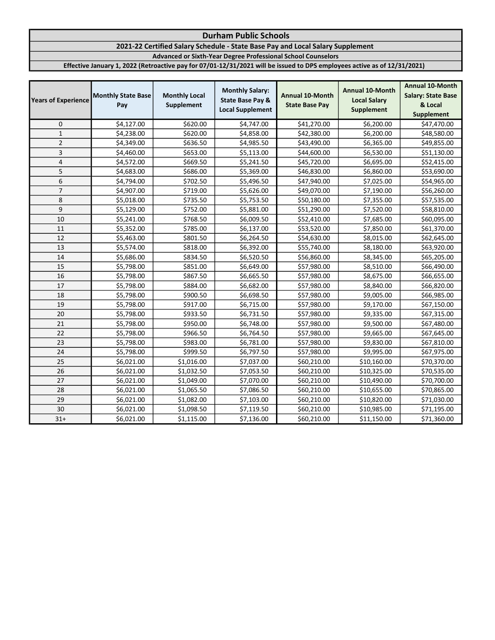# 2021-22 Certified Salary Schedule - State Base Pay and Local Salary Supplement

Advanced or Sixth-Year Degree Professional School Counselors

| <b>Years of Experience</b> | <b>Monthly State Base</b><br>Pay | <b>Monthly Local</b><br>Supplement | <b>Monthly Salary:</b><br><b>State Base Pay &amp;</b><br><b>Local Supplement</b> | <b>Annual 10-Month</b><br><b>State Base Pay</b> | <b>Annual 10-Month</b><br><b>Local Salary</b><br><b>Supplement</b> | <b>Annual 10-Month</b><br><b>Salary: State Base</b><br>& Local<br><b>Supplement</b> |
|----------------------------|----------------------------------|------------------------------------|----------------------------------------------------------------------------------|-------------------------------------------------|--------------------------------------------------------------------|-------------------------------------------------------------------------------------|
| 0                          | \$4,127.00                       | \$620.00                           | \$4,747.00                                                                       | \$41,270.00                                     | \$6,200.00                                                         | \$47,470.00                                                                         |
| $\mathbf 1$                | \$4,238.00                       | \$620.00                           | \$4,858.00                                                                       | \$42,380.00                                     | \$6,200.00                                                         | \$48,580.00                                                                         |
| $\overline{2}$             | \$4,349.00                       | \$636.50                           | \$4,985.50                                                                       | \$43,490.00                                     | \$6,365.00                                                         | \$49,855.00                                                                         |
| 3                          | \$4,460.00                       | \$653.00                           | \$5,113.00                                                                       | \$44,600.00                                     | \$6,530.00                                                         | \$51,130.00                                                                         |
| 4                          | \$4,572.00                       | \$669.50                           | \$5,241.50                                                                       | \$45,720.00                                     | \$6,695.00                                                         | \$52,415.00                                                                         |
| 5                          | \$4,683.00                       | \$686.00                           | \$5,369.00                                                                       | \$46,830.00                                     | \$6,860.00                                                         | \$53,690.00                                                                         |
| 6                          | \$4,794.00                       | \$702.50                           | \$5,496.50                                                                       | \$47,940.00                                     | \$7,025.00                                                         | \$54,965.00                                                                         |
| $\overline{7}$             | \$4,907.00                       | \$719.00                           | \$5,626.00                                                                       | \$49,070.00                                     | \$7,190.00                                                         | \$56,260.00                                                                         |
| 8                          | \$5,018.00                       | \$735.50                           | \$5,753.50                                                                       | \$50,180.00                                     | \$7,355.00                                                         | \$57,535.00                                                                         |
| 9                          | \$5,129.00                       | \$752.00                           | \$5,881.00                                                                       | \$51,290.00                                     | \$7,520.00                                                         | \$58,810.00                                                                         |
| 10                         | \$5,241.00                       | \$768.50                           | \$6,009.50                                                                       | \$52,410.00                                     | \$7,685.00                                                         | \$60,095.00                                                                         |
| 11                         | \$5,352.00                       | \$785.00                           | \$6,137.00                                                                       | \$53,520.00                                     | \$7,850.00                                                         | \$61,370.00                                                                         |
| 12                         | \$5,463.00                       | \$801.50                           | \$6,264.50                                                                       | \$54,630.00                                     | \$8,015.00                                                         | \$62,645.00                                                                         |
| 13                         | \$5,574.00                       | \$818.00                           | \$6,392.00                                                                       | \$55,740.00                                     | \$8,180.00                                                         | \$63,920.00                                                                         |
| 14                         | \$5,686.00                       | \$834.50                           | \$6,520.50                                                                       | \$56,860.00                                     | \$8,345.00                                                         | \$65,205.00                                                                         |
| 15                         | \$5,798.00                       | \$851.00                           | \$6,649.00                                                                       | \$57,980.00                                     | \$8,510.00                                                         | \$66,490.00                                                                         |
| 16                         | \$5,798.00                       | \$867.50                           | \$6,665.50                                                                       | \$57,980.00                                     | \$8,675.00                                                         | \$66,655.00                                                                         |
| 17                         | \$5,798.00                       | \$884.00                           | \$6,682.00                                                                       | \$57,980.00                                     | \$8,840.00                                                         | \$66,820.00                                                                         |
| 18                         | \$5,798.00                       | \$900.50                           | \$6,698.50                                                                       | \$57,980.00                                     | \$9,005.00                                                         | \$66,985.00                                                                         |
| 19                         | \$5,798.00                       | \$917.00                           | \$6,715.00                                                                       | \$57,980.00                                     | \$9,170.00                                                         | \$67,150.00                                                                         |
| 20                         | \$5,798.00                       | \$933.50                           | \$6,731.50                                                                       | \$57,980.00                                     | \$9,335.00                                                         | \$67,315.00                                                                         |
| 21                         | \$5,798.00                       | \$950.00                           | \$6,748.00                                                                       | \$57,980.00                                     | \$9,500.00                                                         | \$67,480.00                                                                         |
| 22                         | \$5,798.00                       | \$966.50                           | \$6,764.50                                                                       | \$57,980.00                                     | \$9,665.00                                                         | \$67,645.00                                                                         |
| 23                         | \$5,798.00                       | \$983.00                           | \$6,781.00                                                                       | \$57,980.00                                     | \$9,830.00                                                         | \$67,810.00                                                                         |
| 24                         | \$5,798.00                       | \$999.50                           | \$6,797.50                                                                       | \$57,980.00                                     | \$9,995.00                                                         | \$67,975.00                                                                         |
| 25                         | \$6,021.00                       | \$1,016.00                         | \$7,037.00                                                                       | \$60,210.00                                     | \$10,160.00                                                        | \$70,370.00                                                                         |
| 26                         | \$6,021.00                       | \$1,032.50                         | \$7,053.50                                                                       | \$60,210.00                                     | \$10,325.00                                                        | \$70,535.00                                                                         |
| 27                         | \$6,021.00                       | \$1,049.00                         | \$7,070.00                                                                       | \$60,210.00                                     | \$10,490.00                                                        | \$70,700.00                                                                         |
| 28                         | \$6,021.00                       | \$1,065.50                         | \$7,086.50                                                                       | \$60,210.00                                     | \$10,655.00                                                        | \$70,865.00                                                                         |
| 29                         | \$6,021.00                       | \$1,082.00                         | \$7,103.00                                                                       | \$60,210.00                                     | \$10,820.00                                                        | \$71,030.00                                                                         |
| 30                         | \$6,021.00                       | \$1,098.50                         | \$7,119.50                                                                       | \$60,210.00                                     | \$10,985.00                                                        | \$71,195.00                                                                         |
| $31+$                      | \$6,021.00                       | \$1,115.00                         | \$7,136.00                                                                       | \$60,210.00                                     | \$11,150.00                                                        | \$71,360.00                                                                         |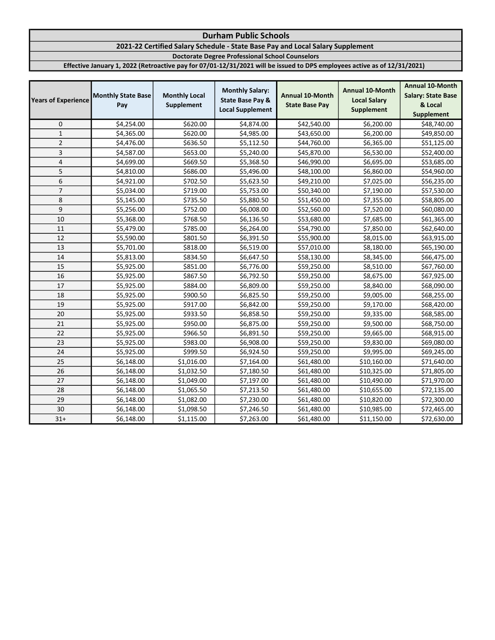# 2021-22 Certified Salary Schedule - State Base Pay and Local Salary Supplement

Doctorate Degree Professional School Counselors

| <b>Years of Experience</b> | <b>Monthly State Base</b><br>Pay | <b>Monthly Local</b><br>Supplement | <b>Monthly Salary:</b><br><b>State Base Pay &amp;</b><br><b>Local Supplement</b> | <b>Annual 10-Month</b><br><b>State Base Pay</b> | <b>Annual 10-Month</b><br><b>Local Salary</b><br><b>Supplement</b> | <b>Annual 10-Month</b><br><b>Salary: State Base</b><br>& Local<br><b>Supplement</b> |
|----------------------------|----------------------------------|------------------------------------|----------------------------------------------------------------------------------|-------------------------------------------------|--------------------------------------------------------------------|-------------------------------------------------------------------------------------|
| 0                          | \$4,254.00                       | \$620.00                           | \$4,874.00                                                                       | \$42,540.00                                     | \$6,200.00                                                         | \$48,740.00                                                                         |
| $\mathbf 1$                | \$4,365.00                       | \$620.00                           | \$4,985.00                                                                       | \$43,650.00                                     | \$6,200.00                                                         | \$49,850.00                                                                         |
| $\overline{2}$             | \$4,476.00                       | \$636.50                           | \$5,112.50                                                                       | \$44,760.00                                     | \$6,365.00                                                         | \$51,125.00                                                                         |
| 3                          | \$4,587.00                       | \$653.00                           | \$5,240.00                                                                       | \$45,870.00                                     | \$6,530.00                                                         | \$52,400.00                                                                         |
| 4                          | \$4,699.00                       | \$669.50                           | \$5,368.50                                                                       | \$46,990.00                                     | \$6,695.00                                                         | \$53,685.00                                                                         |
| 5                          | \$4,810.00                       | \$686.00                           | \$5,496.00                                                                       | \$48,100.00                                     | \$6,860.00                                                         | \$54,960.00                                                                         |
| 6                          | \$4,921.00                       | \$702.50                           | \$5,623.50                                                                       | \$49,210.00                                     | \$7,025.00                                                         | \$56,235.00                                                                         |
| $\overline{7}$             | \$5,034.00                       | \$719.00                           | \$5,753.00                                                                       | \$50,340.00                                     | \$7,190.00                                                         | \$57,530.00                                                                         |
| 8                          | \$5,145.00                       | \$735.50                           | \$5,880.50                                                                       | \$51,450.00                                     | \$7,355.00                                                         | \$58,805.00                                                                         |
| 9                          | \$5,256.00                       | \$752.00                           | \$6,008.00                                                                       | \$52,560.00                                     | \$7,520.00                                                         | \$60,080.00                                                                         |
| 10                         | \$5,368.00                       | \$768.50                           | \$6,136.50                                                                       | \$53,680.00                                     | \$7,685.00                                                         | \$61,365.00                                                                         |
| 11                         | \$5,479.00                       | \$785.00                           | \$6,264.00                                                                       | \$54,790.00                                     | \$7,850.00                                                         | \$62,640.00                                                                         |
| 12                         | \$5,590.00                       | \$801.50                           | \$6,391.50                                                                       | \$55,900.00                                     | \$8,015.00                                                         | \$63,915.00                                                                         |
| 13                         | \$5,701.00                       | \$818.00                           | \$6,519.00                                                                       | \$57,010.00                                     | \$8,180.00                                                         | \$65,190.00                                                                         |
| 14                         | \$5,813.00                       | \$834.50                           | \$6,647.50                                                                       | \$58,130.00                                     | \$8,345.00                                                         | \$66,475.00                                                                         |
| 15                         | \$5,925.00                       | \$851.00                           | \$6,776.00                                                                       | \$59,250.00                                     | \$8,510.00                                                         | \$67,760.00                                                                         |
| 16                         | \$5,925.00                       | \$867.50                           | \$6,792.50                                                                       | \$59,250.00                                     | \$8,675.00                                                         | \$67,925.00                                                                         |
| 17                         | \$5,925.00                       | \$884.00                           | \$6,809.00                                                                       | \$59,250.00                                     | \$8,840.00                                                         | \$68,090.00                                                                         |
| 18                         | \$5,925.00                       | \$900.50                           | \$6,825.50                                                                       | \$59,250.00                                     | \$9,005.00                                                         | \$68,255.00                                                                         |
| 19                         | \$5,925.00                       | \$917.00                           | \$6,842.00                                                                       | \$59,250.00                                     | \$9,170.00                                                         | \$68,420.00                                                                         |
| 20                         | \$5,925.00                       | \$933.50                           | \$6,858.50                                                                       | \$59,250.00                                     | \$9,335.00                                                         | \$68,585.00                                                                         |
| 21                         | \$5,925.00                       | \$950.00                           | \$6,875.00                                                                       | \$59,250.00                                     | \$9,500.00                                                         | \$68,750.00                                                                         |
| 22                         | \$5,925.00                       | \$966.50                           | \$6,891.50                                                                       | \$59,250.00                                     | \$9,665.00                                                         | \$68,915.00                                                                         |
| 23                         | \$5,925.00                       | \$983.00                           | \$6,908.00                                                                       | \$59,250.00                                     | \$9,830.00                                                         | \$69,080.00                                                                         |
| 24                         | \$5,925.00                       | \$999.50                           | \$6,924.50                                                                       | \$59,250.00                                     | \$9,995.00                                                         | \$69,245.00                                                                         |
| 25                         | \$6,148.00                       | \$1,016.00                         | \$7,164.00                                                                       | \$61,480.00                                     | \$10,160.00                                                        | \$71,640.00                                                                         |
| 26                         | \$6,148.00                       | \$1,032.50                         | \$7,180.50                                                                       | \$61,480.00                                     | \$10,325.00                                                        | \$71,805.00                                                                         |
| 27                         | \$6,148.00                       | \$1,049.00                         | \$7,197.00                                                                       | \$61,480.00                                     | \$10,490.00                                                        | \$71,970.00                                                                         |
| 28                         | \$6,148.00                       | \$1,065.50                         | \$7,213.50                                                                       | \$61,480.00                                     | \$10,655.00                                                        | \$72,135.00                                                                         |
| 29                         | \$6,148.00                       | \$1,082.00                         | \$7,230.00                                                                       | \$61,480.00                                     | \$10,820.00                                                        | \$72,300.00                                                                         |
| 30                         | \$6,148.00                       | \$1,098.50                         | \$7,246.50                                                                       | \$61,480.00                                     | \$10,985.00                                                        | \$72,465.00                                                                         |
| $31+$                      | \$6,148.00                       | \$1,115.00                         | \$7,263.00                                                                       | \$61,480.00                                     | \$11,150.00                                                        | \$72,630.00                                                                         |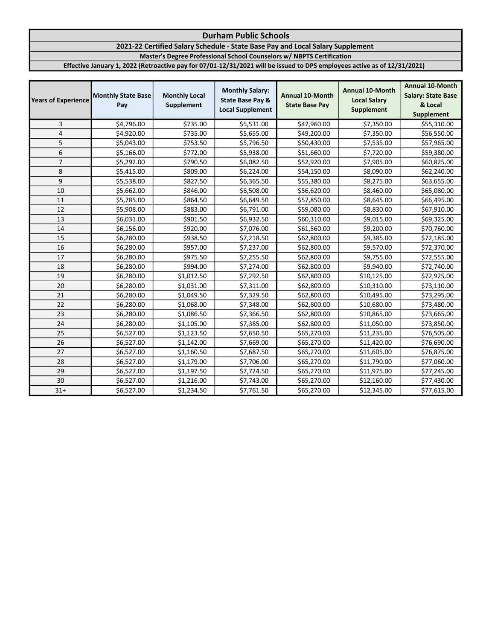## Durham Public Schools 2021-22 Certified Salary Schedule - State Base Pay and Local Salary Supplement Master's Degree Professional School Counselors w/ NBPTS Certification Effective January 1, 2022 (Retroactive pay for 07/01-12/31/2021 will be issued to DPS employees active as of 12/31/2021)

| <b>Years of Experience</b> | <b>Monthly State Base</b><br>Pay | <b>Monthly Local</b><br>Supplement | <b>Monthly Salary:</b><br><b>State Base Pay &amp;</b><br><b>Local Supplement</b> | <b>Annual 10-Month</b><br><b>State Base Pay</b> | <b>Annual 10-Month</b><br><b>Local Salary</b><br><b>Supplement</b> | <b>Annual 10-Month</b><br><b>Salary: State Base</b><br>& Local<br>Supplement |
|----------------------------|----------------------------------|------------------------------------|----------------------------------------------------------------------------------|-------------------------------------------------|--------------------------------------------------------------------|------------------------------------------------------------------------------|
| 3                          | \$4,796.00                       | \$735.00                           | \$5,531.00                                                                       | \$47,960.00                                     | \$7,350.00                                                         | \$55,310.00                                                                  |
| 4                          | \$4,920.00                       | \$735.00                           | \$5,655.00                                                                       | \$49,200.00                                     | \$7,350.00                                                         | \$56,550.00                                                                  |
| 5                          | \$5,043.00                       | \$753.50                           | \$5,796.50                                                                       | \$50,430.00                                     | \$7,535.00                                                         | \$57,965.00                                                                  |
| 6                          | \$5,166.00                       | \$772.00                           | \$5,938.00                                                                       | \$51,660.00                                     | \$7,720.00                                                         | \$59,380.00                                                                  |
| $\overline{7}$             | \$5,292.00                       | \$790.50                           | \$6,082.50                                                                       | \$52,920.00                                     | \$7,905.00                                                         | \$60,825.00                                                                  |
| 8                          | \$5,415.00                       | \$809.00                           | \$6,224.00                                                                       | \$54,150.00                                     | \$8,090.00                                                         | \$62,240.00                                                                  |
| 9                          | \$5,538.00                       | \$827.50                           | \$6,365.50                                                                       | \$55,380.00                                     | \$8,275.00                                                         | \$63,655.00                                                                  |
| 10                         | \$5,662.00                       | \$846.00                           | \$6,508.00                                                                       | \$56,620.00                                     | \$8,460.00                                                         | \$65,080.00                                                                  |
| 11                         | \$5,785.00                       | \$864.50                           | \$6,649.50                                                                       | \$57,850.00                                     | \$8,645.00                                                         | \$66,495.00                                                                  |
| 12                         | \$5,908.00                       | \$883.00                           | \$6,791.00                                                                       | \$59,080.00                                     | \$8,830.00                                                         | \$67,910.00                                                                  |
| 13                         | \$6,031.00                       | \$901.50                           | \$6,932.50                                                                       | \$60,310.00                                     | \$9,015.00                                                         | \$69,325.00                                                                  |
| 14                         | \$6,156.00                       | \$920.00                           | \$7,076.00                                                                       | \$61,560.00                                     | \$9,200.00                                                         | \$70,760.00                                                                  |
| 15                         | \$6,280.00                       | \$938.50                           | \$7,218.50                                                                       | \$62,800.00                                     | \$9,385.00                                                         | \$72,185.00                                                                  |
| 16                         | \$6,280.00                       | \$957.00                           | \$7,237.00                                                                       | \$62,800.00                                     | \$9,570.00                                                         | \$72,370.00                                                                  |
| 17                         | \$6,280.00                       | \$975.50                           | \$7,255.50                                                                       | \$62,800.00                                     | \$9,755.00                                                         | \$72,555.00                                                                  |
| 18                         | \$6,280.00                       | \$994.00                           | \$7,274.00                                                                       | \$62,800.00                                     | \$9,940.00                                                         | \$72,740.00                                                                  |
| 19                         | \$6,280.00                       | \$1,012.50                         | \$7,292.50                                                                       | \$62,800.00                                     | \$10,125.00                                                        | \$72,925.00                                                                  |
| 20                         | \$6,280.00                       | \$1,031.00                         | \$7,311.00                                                                       | \$62,800.00                                     | \$10,310.00                                                        | \$73,110.00                                                                  |
| 21                         | \$6,280.00                       | \$1,049.50                         | \$7,329.50                                                                       | \$62,800.00                                     | \$10,495.00                                                        | \$73,295.00                                                                  |
| 22                         | \$6,280.00                       | \$1,068.00                         | \$7,348.00                                                                       | \$62,800.00                                     | \$10,680.00                                                        | \$73,480.00                                                                  |
| 23                         | \$6,280.00                       | \$1,086.50                         | \$7,366.50                                                                       | \$62,800.00                                     | \$10,865.00                                                        | \$73,665.00                                                                  |
| 24                         | \$6,280.00                       | \$1,105.00                         | \$7,385.00                                                                       | \$62,800.00                                     | \$11,050.00                                                        | \$73,850.00                                                                  |
| 25                         | \$6,527.00                       | \$1,123.50                         | \$7,650.50                                                                       | \$65,270.00                                     | \$11,235.00                                                        | \$76,505.00                                                                  |
| 26                         | \$6,527.00                       | \$1,142.00                         | \$7,669.00                                                                       | \$65,270.00                                     | \$11,420.00                                                        | \$76,690.00                                                                  |
| 27                         | \$6,527.00                       | \$1,160.50                         | \$7,687.50                                                                       | \$65,270.00                                     | \$11,605.00                                                        | \$76,875.00                                                                  |
| 28                         | \$6,527.00                       | \$1,179.00                         | \$7,706.00                                                                       | \$65,270.00                                     | \$11,790.00                                                        | \$77,060.00                                                                  |
| 29                         | \$6,527.00                       | \$1,197.50                         | \$7,724.50                                                                       | \$65,270.00                                     | \$11,975.00                                                        | \$77,245.00                                                                  |
| 30                         | \$6,527.00                       | \$1,216.00                         | \$7,743.00                                                                       | \$65,270.00                                     | \$12,160.00                                                        | \$77,430.00                                                                  |
| $31+$                      | \$6,527.00                       | \$1,234.50                         | \$7,761.50                                                                       | \$65,270.00                                     | \$12,345.00                                                        | \$77,615.00                                                                  |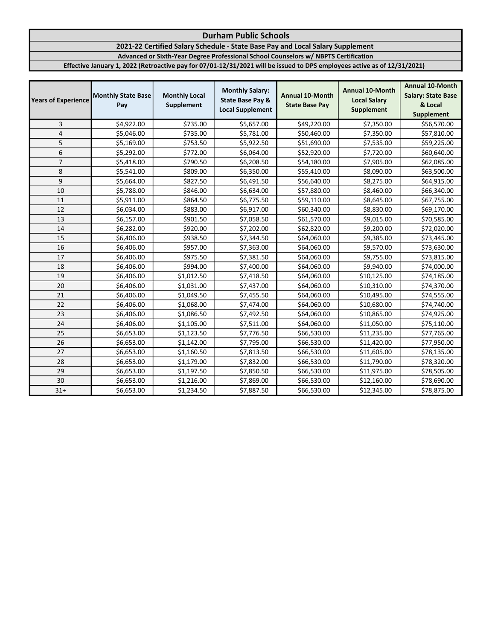2021-22 Certified Salary Schedule - State Base Pay and Local Salary Supplement

Advanced or Sixth-Year Degree Professional School Counselors w/ NBPTS Certification

| <b>Years of Experience</b> | <b>Monthly State Base</b><br>Pay | <b>Monthly Local</b><br>Supplement | <b>Monthly Salary:</b><br><b>State Base Pay &amp;</b><br><b>Local Supplement</b> | <b>Annual 10-Month</b><br><b>State Base Pay</b> | <b>Annual 10-Month</b><br><b>Local Salary</b><br>Supplement | <b>Annual 10-Month</b><br><b>Salary: State Base</b><br>& Local<br><b>Supplement</b> |
|----------------------------|----------------------------------|------------------------------------|----------------------------------------------------------------------------------|-------------------------------------------------|-------------------------------------------------------------|-------------------------------------------------------------------------------------|
| 3                          | \$4,922.00                       | \$735.00                           | \$5,657.00                                                                       | \$49,220.00                                     | \$7,350.00                                                  | \$56,570.00                                                                         |
| 4                          | \$5,046.00                       | \$735.00                           | \$5,781.00                                                                       | \$50,460.00                                     | \$7,350.00                                                  | \$57,810.00                                                                         |
| 5                          | \$5,169.00                       | \$753.50                           | \$5,922.50                                                                       | \$51,690.00                                     | \$7,535.00                                                  | \$59,225.00                                                                         |
| 6                          | \$5,292.00                       | \$772.00                           | \$6,064.00                                                                       | \$52,920.00                                     | \$7,720.00                                                  | \$60,640.00                                                                         |
| $\overline{7}$             | \$5,418.00                       | \$790.50                           | \$6,208.50                                                                       | \$54,180.00                                     | \$7,905.00                                                  | \$62,085.00                                                                         |
| 8                          | \$5,541.00                       | \$809.00                           | \$6,350.00                                                                       | \$55,410.00                                     | \$8,090.00                                                  | \$63,500.00                                                                         |
| 9                          | \$5,664.00                       | \$827.50                           | \$6,491.50                                                                       | \$56,640.00                                     | \$8,275.00                                                  | \$64,915.00                                                                         |
| 10                         | \$5,788.00                       | \$846.00                           | \$6,634.00                                                                       | \$57,880.00                                     | \$8,460.00                                                  | \$66,340.00                                                                         |
| 11                         | \$5,911.00                       | \$864.50                           | \$6,775.50                                                                       | \$59,110.00                                     | \$8,645.00                                                  | \$67,755.00                                                                         |
| 12                         | \$6,034.00                       | \$883.00                           | \$6,917.00                                                                       | \$60,340.00                                     | \$8,830.00                                                  | \$69,170.00                                                                         |
| 13                         | \$6,157.00                       | \$901.50                           | \$7,058.50                                                                       | \$61,570.00                                     | \$9,015.00                                                  | \$70,585.00                                                                         |
| 14                         | \$6,282.00                       | \$920.00                           | \$7,202.00                                                                       | \$62,820.00                                     | \$9,200.00                                                  | \$72,020.00                                                                         |
| 15                         | \$6,406.00                       | \$938.50                           | \$7,344.50                                                                       | \$64,060.00                                     | \$9,385.00                                                  | \$73,445.00                                                                         |
| 16                         | \$6,406.00                       | \$957.00                           | \$7,363.00                                                                       | \$64,060.00                                     | \$9,570.00                                                  | \$73,630.00                                                                         |
| 17                         | \$6,406.00                       | \$975.50                           | \$7,381.50                                                                       | \$64,060.00                                     | \$9,755.00                                                  | \$73,815.00                                                                         |
| 18                         | \$6,406.00                       | \$994.00                           | \$7,400.00                                                                       | \$64,060.00                                     | \$9,940.00                                                  | \$74,000.00                                                                         |
| 19                         | \$6,406.00                       | \$1,012.50                         | \$7,418.50                                                                       | \$64,060.00                                     | \$10,125.00                                                 | \$74,185.00                                                                         |
| 20                         | \$6,406.00                       | \$1,031.00                         | \$7,437.00                                                                       | \$64,060.00                                     | \$10,310.00                                                 | \$74,370.00                                                                         |
| 21                         | \$6,406.00                       | \$1,049.50                         | \$7,455.50                                                                       | \$64,060.00                                     | \$10,495.00                                                 | \$74,555.00                                                                         |
| 22                         | \$6,406.00                       | \$1,068.00                         | \$7,474.00                                                                       | \$64,060.00                                     | \$10,680.00                                                 | \$74,740.00                                                                         |
| 23                         | \$6,406.00                       | \$1,086.50                         | \$7,492.50                                                                       | \$64,060.00                                     | \$10,865.00                                                 | \$74,925.00                                                                         |
| 24                         | \$6,406.00                       | \$1,105.00                         | \$7,511.00                                                                       | \$64,060.00                                     | \$11,050.00                                                 | \$75,110.00                                                                         |
| 25                         | \$6,653.00                       | \$1,123.50                         | \$7,776.50                                                                       | \$66,530.00                                     | \$11,235.00                                                 | \$77,765.00                                                                         |
| 26                         | \$6,653.00                       | \$1,142.00                         | \$7,795.00                                                                       | \$66,530.00                                     | \$11,420.00                                                 | \$77,950.00                                                                         |
| 27                         | \$6,653.00                       | \$1,160.50                         | \$7,813.50                                                                       | \$66,530.00                                     | \$11,605.00                                                 | \$78,135.00                                                                         |
| 28                         | \$6,653.00                       | \$1,179.00                         | \$7,832.00                                                                       | \$66,530.00                                     | \$11,790.00                                                 | \$78,320.00                                                                         |
| 29                         | \$6,653.00                       | \$1,197.50                         | \$7,850.50                                                                       | \$66,530.00                                     | \$11,975.00                                                 | \$78,505.00                                                                         |
| 30                         | \$6,653.00                       | \$1,216.00                         | \$7,869.00                                                                       | \$66,530.00                                     | \$12,160.00                                                 | \$78,690.00                                                                         |
| $31+$                      | \$6,653.00                       | \$1,234.50                         | \$7,887.50                                                                       | \$66,530.00                                     | \$12,345.00                                                 | \$78,875.00                                                                         |